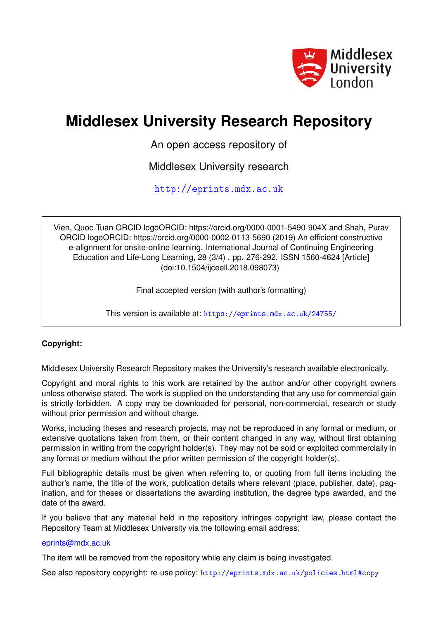

# **Middlesex University Research Repository**

An open access repository of

Middlesex University research

<http://eprints.mdx.ac.uk>

Vien, Quoc-Tuan ORCID logoORCID: https://orcid.org/0000-0001-5490-904X and Shah, Purav ORCID logoORCID: https://orcid.org/0000-0002-0113-5690 (2019) An efficient constructive e-alignment for onsite-online learning. International Journal of Continuing Engineering Education and Life-Long Learning, 28 (3/4) . pp. 276-292. ISSN 1560-4624 [Article] (doi:10.1504/ijceell.2018.098073)

Final accepted version (with author's formatting)

This version is available at: <https://eprints.mdx.ac.uk/24755/>

# **Copyright:**

Middlesex University Research Repository makes the University's research available electronically.

Copyright and moral rights to this work are retained by the author and/or other copyright owners unless otherwise stated. The work is supplied on the understanding that any use for commercial gain is strictly forbidden. A copy may be downloaded for personal, non-commercial, research or study without prior permission and without charge.

Works, including theses and research projects, may not be reproduced in any format or medium, or extensive quotations taken from them, or their content changed in any way, without first obtaining permission in writing from the copyright holder(s). They may not be sold or exploited commercially in any format or medium without the prior written permission of the copyright holder(s).

Full bibliographic details must be given when referring to, or quoting from full items including the author's name, the title of the work, publication details where relevant (place, publisher, date), pagination, and for theses or dissertations the awarding institution, the degree type awarded, and the date of the award.

If you believe that any material held in the repository infringes copyright law, please contact the Repository Team at Middlesex University via the following email address:

# [eprints@mdx.ac.uk](mailto:eprints@mdx.ac.uk)

The item will be removed from the repository while any claim is being investigated.

See also repository copyright: re-use policy: <http://eprints.mdx.ac.uk/policies.html#copy>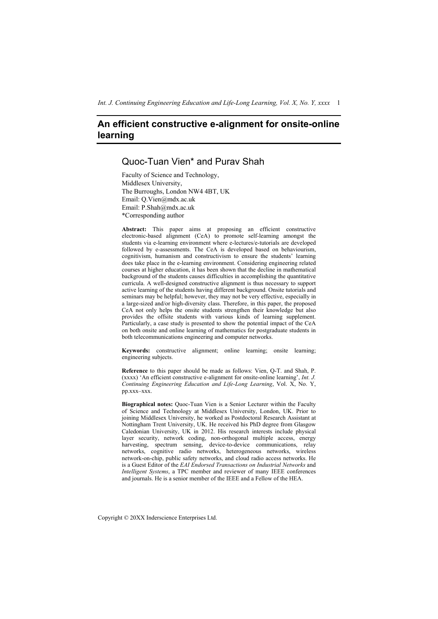*Int. J. Continuing Engineering Education and Life-Long Learning, Vol. X, No. Y, xxxx* 1

# **An efficient constructive e-alignment for onsite-online learning**

# Quoc-Tuan Vien\* and Purav Shah

Faculty of Science and Technology, Middlesex University, The Burroughs, London NW4 4BT, UK Email: Q.Vien@mdx.ac.uk Email: P.Shah@mdx.ac.uk \*Corresponding author

**Abstract:** This paper aims at proposing an efficient constructive electronic-based alignment (CeA) to promote self-learning amongst the students via e-learning environment where e-lectures/e-tutorials are developed followed by e-assessments. The CeA is developed based on behaviourism, cognitivism, humanism and constructivism to ensure the students' learning does take place in the e-learning environment. Considering engineering related courses at higher education, it has been shown that the decline in mathematical background of the students causes difficulties in accomplishing the quantitative curricula. A well-designed constructive alignment is thus necessary to support active learning of the students having different background. Onsite tutorials and seminars may be helpful; however, they may not be very effective, especially in a large-sized and/or high-diversity class. Therefore, in this paper, the proposed CeA not only helps the onsite students strengthen their knowledge but also provides the offsite students with various kinds of learning supplement. Particularly, a case study is presented to show the potential impact of the CeA on both onsite and online learning of mathematics for postgraduate students in both telecommunications engineering and computer networks.

**Keywords:** constructive alignment; online learning; onsite learning; engineering subjects.

**Reference** to this paper should be made as follows: Vien, Q-T. and Shah, P. (xxxx) 'An efficient constructive e-alignment for onsite-online learning', *Int. J. Continuing Engineering Education and Life-Long Learning*, Vol. X, No. Y, pp.xxx–xxx.

**Biographical notes:** Quoc-Tuan Vien is a Senior Lecturer within the Faculty of Science and Technology at Middlesex University, London, UK. Prior to joining Middlesex University, he worked as Postdoctoral Research Assistant at Nottingham Trent University, UK. He received his PhD degree from Glasgow Caledonian University, UK in 2012. His research interests include physical layer security, network coding, non-orthogonal multiple access, energy harvesting, spectrum sensing, device-to-device communications, relay networks, cognitive radio networks, heterogeneous networks, wireless network-on-chip, public safety networks, and cloud radio access networks. He is a Guest Editor of the *EAI Endorsed Transactions on Industrial Networks* and *Intelligent Systems*, a TPC member and reviewer of many IEEE conferences and journals. He is a senior member of the IEEE and a Fellow of the HEA.

Copyright © 20XX Inderscience Enterprises Ltd.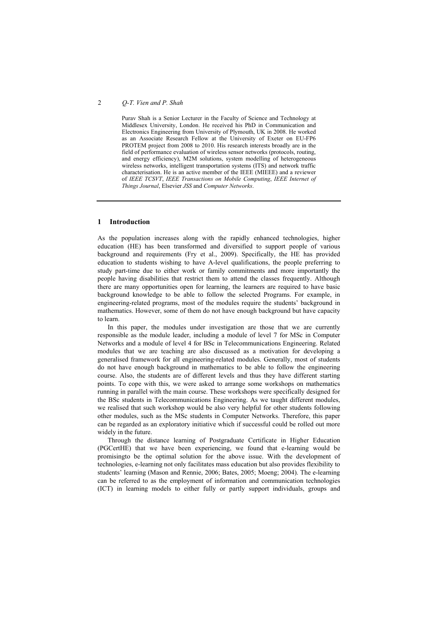Purav Shah is a Senior Lecturer in the Faculty of Science and Technology at Middlesex University, London. He received his PhD in Communication and Electronics Engineering from University of Plymouth, UK in 2008. He worked as an Associate Research Fellow at the University of Exeter on EU-FP6 PROTEM project from 2008 to 2010. His research interests broadly are in the field of performance evaluation of wireless sensor networks (protocols, routing, and energy efficiency), M2M solutions, system modelling of heterogeneous wireless networks, intelligent transportation systems (ITS) and network traffic characterisation. He is an active member of the IEEE (MIEEE) and a reviewer of *IEEE TCSVT*, *IEEE Transactions on Mobile Computing*, *IEEE Internet of Things Journal*, Elsevier *JSS* and *Computer Networks*.

# **1 Introduction**

As the population increases along with the rapidly enhanced technologies, higher education (HE) has been transformed and diversified to support people of various background and requirements (Fry et al., 2009). Specifically, the HE has provided education to students wishing to have A-level qualifications, the people preferring to study part-time due to either work or family commitments and more importantly the people having disabilities that restrict them to attend the classes frequently. Although there are many opportunities open for learning, the learners are required to have basic background knowledge to be able to follow the selected Programs. For example, in engineering-related programs, most of the modules require the students' background in mathematics. However, some of them do not have enough background but have capacity to learn.

In this paper, the modules under investigation are those that we are currently responsible as the module leader, including a module of level 7 for MSc in Computer Networks and a module of level 4 for BSc in Telecommunications Engineering. Related modules that we are teaching are also discussed as a motivation for developing a generalised framework for all engineering-related modules. Generally, most of students do not have enough background in mathematics to be able to follow the engineering course. Also, the students are of different levels and thus they have different starting points. To cope with this, we were asked to arrange some workshops on mathematics running in parallel with the main course. These workshops were specifically designed for the BSc students in Telecommunications Engineering. As we taught different modules, we realised that such workshop would be also very helpful for other students following other modules, such as the MSc students in Computer Networks. Therefore, this paper can be regarded as an exploratory initiative which if successful could be rolled out more widely in the future.

Through the distance learning of Postgraduate Certificate in Higher Education (PGCertHE) that we have been experiencing, we found that e-learning would be promisingto be the optimal solution for the above issue. With the development of technologies, e-learning not only facilitates mass education but also provides flexibility to students' learning (Mason and Rennie, 2006; Bates, 2005; Moeng; 2004). The e-learning can be referred to as the employment of information and communication technologies (ICT) in learning models to either fully or partly support individuals, groups and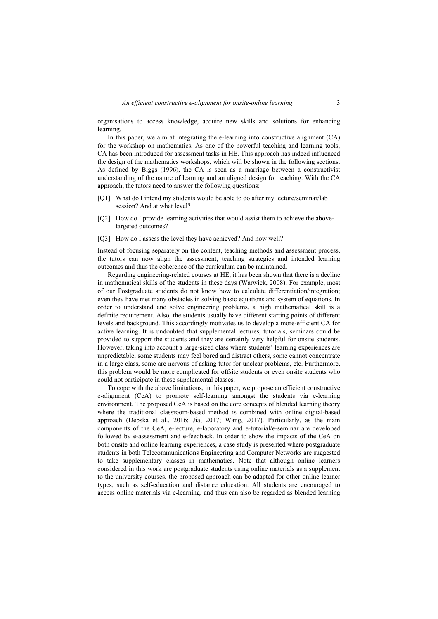organisations to access knowledge, acquire new skills and solutions for enhancing learning.

In this paper, we aim at integrating the e-learning into constructive alignment (CA) for the workshop on mathematics. As one of the powerful teaching and learning tools, CA has been introduced for assessment tasks in HE. This approach has indeed influenced the design of the mathematics workshops, which will be shown in the following sections. As defined by Biggs (1996), the CA is seen as a marriage between a constructivist understanding of the nature of learning and an aligned design for teaching. With the CA approach, the tutors need to answer the following questions:

- [O1] What do I intend my students would be able to do after my lecture/seminar/lab session? And at what level?
- [Q2] How do I provide learning activities that would assist them to achieve the abovetargeted outcomes?
- [Q3] How do I assess the level they have achieved? And how well?

Instead of focusing separately on the content, teaching methods and assessment process, the tutors can now align the assessment, teaching strategies and intended learning outcomes and thus the coherence of the curriculum can be maintained.

Regarding engineering-related courses at HE, it has been shown that there is a decline in mathematical skills of the students in these days (Warwick, 2008). For example, most of our Postgraduate students do not know how to calculate differentiation/integration; even they have met many obstacles in solving basic equations and system of equations. In order to understand and solve engineering problems, a high mathematical skill is a definite requirement. Also, the students usually have different starting points of different levels and background. This accordingly motivates us to develop a more-efficient CA for active learning. It is undoubted that supplemental lectures, tutorials, seminars could be provided to support the students and they are certainly very helpful for onsite students. However, taking into account a large-sized class where students' learning experiences are unpredictable, some students may feel bored and distract others, some cannot concentrate in a large class, some are nervous of asking tutor for unclear problems, etc. Furthermore, this problem would be more complicated for offsite students or even onsite students who could not participate in these supplemental classes.

To cope with the above limitations, in this paper, we propose an efficient constructive e-alignment (CeA) to promote self-learning amongst the students via e-learning environment. The proposed CeA is based on the core concepts of blended learning theory where the traditional classroom-based method is combined with online digital-based approach (Dębska et al., 2016; Jia, 2017; Wang, 2017). Particularly, as the main components of the CeA, e-lecture, e-laboratory and e-tutorial/e-seminar are developed followed by e-assessment and e-feedback. In order to show the impacts of the CeA on both onsite and online learning experiences, a case study is presented where postgraduate students in both Telecommunications Engineering and Computer Networks are suggested to take supplementary classes in mathematics. Note that although online learners considered in this work are postgraduate students using online materials as a supplement to the university courses, the proposed approach can be adapted for other online learner types, such as self-education and distance education. All students are encouraged to access online materials via e-learning, and thus can also be regarded as blended learning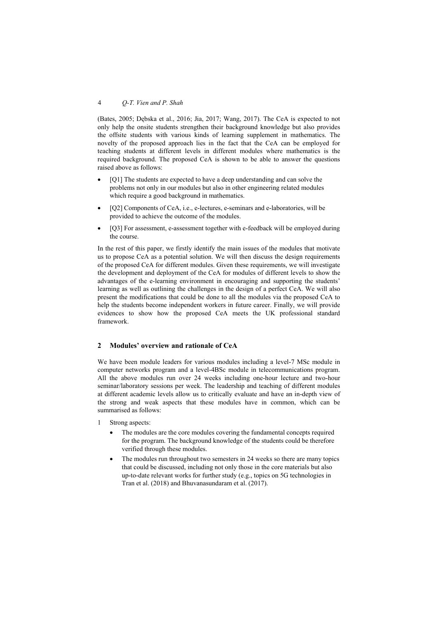(Bates, 2005; Dębska et al., 2016; Jia, 2017; Wang, 2017). The CeA is expected to not only help the onsite students strengthen their background knowledge but also provides the offsite students with various kinds of learning supplement in mathematics. The novelty of the proposed approach lies in the fact that the CeA can be employed for teaching students at different levels in different modules where mathematics is the required background. The proposed CeA is shown to be able to answer the questions raised above as follows:

- [Q1] The students are expected to have a deep understanding and can solve the problems not only in our modules but also in other engineering related modules which require a good background in mathematics.
- [Q2] Components of CeA, i.e., e-lectures, e-seminars and e-laboratories, will be provided to achieve the outcome of the modules.
- [Q3] For assessment, e-assessment together with e-feedback will be employed during the course.

In the rest of this paper, we firstly identify the main issues of the modules that motivate us to propose CeA as a potential solution. We will then discuss the design requirements of the proposed CeA for different modules. Given these requirements, we will investigate the development and deployment of the CeA for modules of different levels to show the advantages of the e-learning environment in encouraging and supporting the students' learning as well as outlining the challenges in the design of a perfect CeA. We will also present the modifications that could be done to all the modules via the proposed CeA to help the students become independent workers in future career. Finally, we will provide evidences to show how the proposed CeA meets the UK professional standard framework.

# **2 Modules' overview and rationale of CeA**

We have been module leaders for various modules including a level-7 MSc module in computer networks program and a level-4BSc module in telecommunications program. All the above modules run over 24 weeks including one-hour lecture and two-hour seminar/laboratory sessions per week. The leadership and teaching of different modules at different academic levels allow us to critically evaluate and have an in-depth view of the strong and weak aspects that these modules have in common, which can be summarised as follows:

- 1 Strong aspects:
	- The modules are the core modules covering the fundamental concepts required for the program. The background knowledge of the students could be therefore verified through these modules.
	- The modules run throughout two semesters in 24 weeks so there are many topics that could be discussed, including not only those in the core materials but also up-to-date relevant works for further study (e.g., topics on 5G technologies in Tran et al. (2018) and Bhuvanasundaram et al. (2017).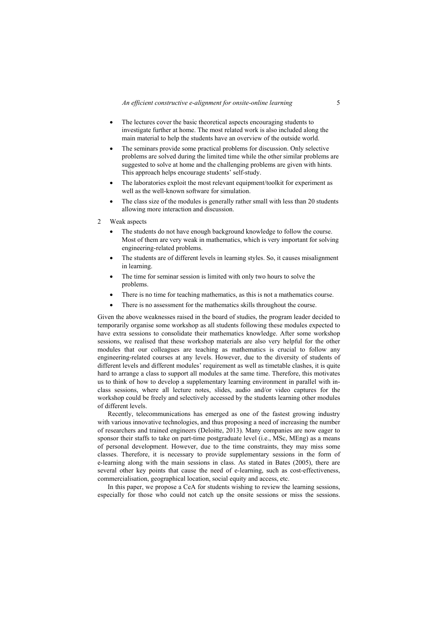*An efficient constructive e-alignment for onsite-online learning* 5

- The lectures cover the basic theoretical aspects encouraging students to investigate further at home. The most related work is also included along the main material to help the students have an overview of the outside world.
- The seminars provide some practical problems for discussion. Only selective problems are solved during the limited time while the other similar problems are suggested to solve at home and the challenging problems are given with hints. This approach helps encourage students' self-study.
- The laboratories exploit the most relevant equipment/toolkit for experiment as well as the well-known software for simulation.
- The class size of the modules is generally rather small with less than 20 students allowing more interaction and discussion.
- 2 Weak aspects
	- The students do not have enough background knowledge to follow the course. Most of them are very weak in mathematics, which is very important for solving engineering-related problems.
	- The students are of different levels in learning styles. So, it causes misalignment in learning.
	- The time for seminar session is limited with only two hours to solve the problems.
	- There is no time for teaching mathematics, as this is not a mathematics course.
	- There is no assessment for the mathematics skills throughout the course.

Given the above weaknesses raised in the board of studies, the program leader decided to temporarily organise some workshop as all students following these modules expected to have extra sessions to consolidate their mathematics knowledge. After some workshop sessions, we realised that these workshop materials are also very helpful for the other modules that our colleagues are teaching as mathematics is crucial to follow any engineering-related courses at any levels. However, due to the diversity of students of different levels and different modules' requirement as well as timetable clashes, it is quite hard to arrange a class to support all modules at the same time. Therefore, this motivates us to think of how to develop a supplementary learning environment in parallel with inclass sessions, where all lecture notes, slides, audio and/or video captures for the workshop could be freely and selectively accessed by the students learning other modules of different levels.

Recently, telecommunications has emerged as one of the fastest growing industry with various innovative technologies, and thus proposing a need of increasing the number of researchers and trained engineers (Deloitte, 2013). Many companies are now eager to sponsor their staffs to take on part-time postgraduate level (i.e., MSc, MEng) as a means of personal development. However, due to the time constraints, they may miss some classes. Therefore, it is necessary to provide supplementary sessions in the form of e-learning along with the main sessions in class. As stated in Bates (2005), there are several other key points that cause the need of e-learning, such as cost-effectiveness, commercialisation, geographical location, social equity and access, etc.

In this paper, we propose a CeA for students wishing to review the learning sessions, especially for those who could not catch up the onsite sessions or miss the sessions.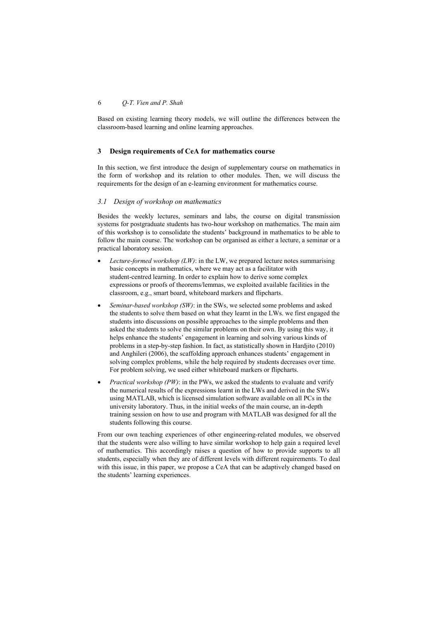Based on existing learning theory models, we will outline the differences between the classroom-based learning and online learning approaches.

## **3 Design requirements of CeA for mathematics course**

In this section, we first introduce the design of supplementary course on mathematics in the form of workshop and its relation to other modules. Then, we will discuss the requirements for the design of an e-learning environment for mathematics course.

#### *3.1 Design of workshop on mathematics*

Besides the weekly lectures, seminars and labs, the course on digital transmission systems for postgraduate students has two-hour workshop on mathematics. The main aim of this workshop is to consolidate the students' background in mathematics to be able to follow the main course. The workshop can be organised as either a lecture, a seminar or a practical laboratory session.

- *Lecture-formed workshop*  $(LW)$ : in the LW, we prepared lecture notes summarising basic concepts in mathematics, where we may act as a facilitator with student-centred learning. In order to explain how to derive some complex expressions or proofs of theorems/lemmas, we exploited available facilities in the classroom, e.g., smart board, whiteboard markers and flipcharts.
- *Seminar-based workshop (SW)*: in the SWs, we selected some problems and asked the students to solve them based on what they learnt in the LWs. we first engaged the students into discussions on possible approaches to the simple problems and then asked the students to solve the similar problems on their own. By using this way, it helps enhance the students' engagement in learning and solving various kinds of problems in a step-by-step fashion. In fact, as statistically shown in Hardjito (2010) and Anghileri (2006), the scaffolding approach enhances students' engagement in solving complex problems, while the help required by students decreases over time. For problem solving, we used either whiteboard markers or flipcharts.
- *Practical workshop (PW)*: in the PWs, we asked the students to evaluate and verify the numerical results of the expressions learnt in the LWs and derived in the SWs using MATLAB, which is licensed simulation software available on all PCs in the university laboratory. Thus, in the initial weeks of the main course, an in-depth training session on how to use and program with MATLAB was designed for all the students following this course.

From our own teaching experiences of other engineering-related modules, we observed that the students were also willing to have similar workshop to help gain a required level of mathematics. This accordingly raises a question of how to provide supports to all students, especially when they are of different levels with different requirements. To deal with this issue, in this paper, we propose a CeA that can be adaptively changed based on the students' learning experiences.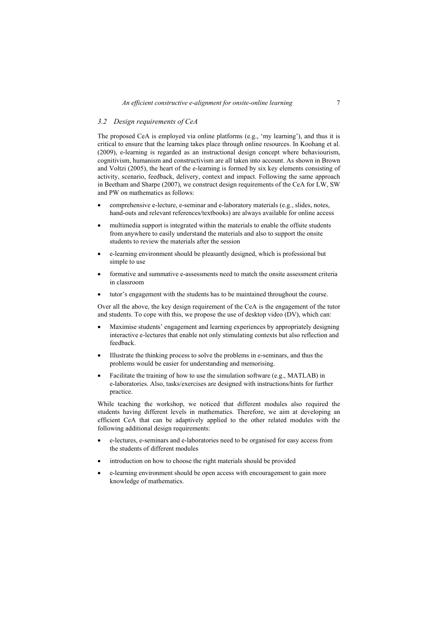#### *3.2 Design requirements of CeA*

The proposed CeA is employed via online platforms (e.g., 'my learning'), and thus it is critical to ensure that the learning takes place through online resources. In Koohang et al. (2009), e-learning is regarded as an instructional design concept where behaviourism, cognitivism, humanism and constructivism are all taken into account. As shown in Brown and Voltzi (2005), the heart of the e-learning is formed by six key elements consisting of activity, scenario, feedback, delivery, context and impact. Following the same approach in Beetham and Sharpe (2007), we construct design requirements of the CeA for LW, SW and PW on mathematics as follows:

- comprehensive e-lecture, e-seminar and e-laboratory materials (e.g., slides, notes, hand-outs and relevant references/textbooks) are always available for online access
- multimedia support is integrated within the materials to enable the offsite students from anywhere to easily understand the materials and also to support the onsite students to review the materials after the session
- e-learning environment should be pleasantly designed, which is professional but simple to use
- formative and summative e-assessments need to match the onsite assessment criteria in classroom
- tutor's engagement with the students has to be maintained throughout the course.

Over all the above, the key design requirement of the CeA is the engagement of the tutor and students. To cope with this, we propose the use of desktop video (DV), which can:

- Maximise students' engagement and learning experiences by appropriately designing interactive e-lectures that enable not only stimulating contexts but also reflection and feedback.
- Illustrate the thinking process to solve the problems in e-seminars, and thus the problems would be easier for understanding and memorising.
- Facilitate the training of how to use the simulation software (e.g., MATLAB) in e-laboratories. Also, tasks/exercises are designed with instructions/hints for further practice.

While teaching the workshop, we noticed that different modules also required the students having different levels in mathematics. Therefore, we aim at developing an efficient CeA that can be adaptively applied to the other related modules with the following additional design requirements:

- e-lectures, e-seminars and e-laboratories need to be organised for easy access from the students of different modules
- introduction on how to choose the right materials should be provided
- e-learning environment should be open access with encouragement to gain more knowledge of mathematics.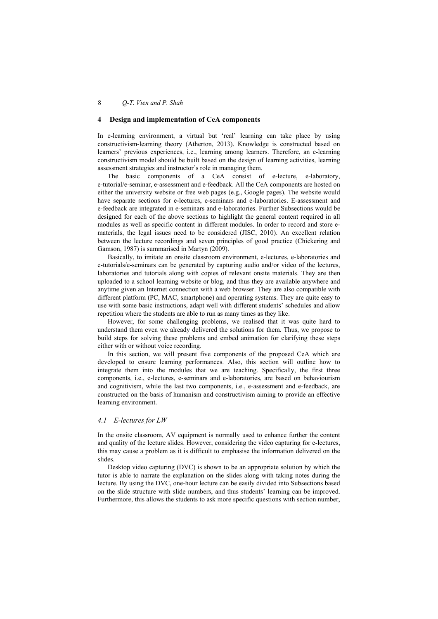#### **4 Design and implementation of CeA components**

In e-learning environment, a virtual but 'real' learning can take place by using constructivism-learning theory (Atherton, 2013). Knowledge is constructed based on learners' previous experiences, i.e., learning among learners. Therefore, an e-learning constructivism model should be built based on the design of learning activities, learning assessment strategies and instructor's role in managing them.

The basic components of a CeA consist of e-lecture, e-laboratory, e-tutorial/e-seminar, e-assessment and e-feedback. All the CeA components are hosted on either the university website or free web pages (e.g., Google pages). The website would have separate sections for e-lectures, e-seminars and e-laboratories. E-assessment and e-feedback are integrated in e-seminars and e-laboratories. Further Subsections would be designed for each of the above sections to highlight the general content required in all modules as well as specific content in different modules. In order to record and store ematerials, the legal issues need to be considered (JISC, 2010). An excellent relation between the lecture recordings and seven principles of good practice (Chickering and Gamson, 1987) is summarised in Martyn (2009).

Basically, to imitate an onsite classroom environment, e-lectures, e-laboratories and e-tutorials/e-seminars can be generated by capturing audio and/or video of the lectures, laboratories and tutorials along with copies of relevant onsite materials. They are then uploaded to a school learning website or blog, and thus they are available anywhere and anytime given an Internet connection with a web browser. They are also compatible with different platform (PC, MAC, smartphone) and operating systems. They are quite easy to use with some basic instructions, adapt well with different students' schedules and allow repetition where the students are able to run as many times as they like.

However, for some challenging problems, we realised that it was quite hard to understand them even we already delivered the solutions for them. Thus, we propose to build steps for solving these problems and embed animation for clarifying these steps either with or without voice recording.

In this section, we will present five components of the proposed CeA which are developed to ensure learning performances. Also, this section will outline how to integrate them into the modules that we are teaching. Specifically, the first three components, i.e., e-lectures, e-seminars and e-laboratories, are based on behaviourism and cognitivism, while the last two components, i.e., e-assessment and e-feedback, are constructed on the basis of humanism and constructivism aiming to provide an effective learning environment.

#### *4.1 E-lectures for LW*

In the onsite classroom, AV equipment is normally used to enhance further the content and quality of the lecture slides. However, considering the video capturing for e-lectures, this may cause a problem as it is difficult to emphasise the information delivered on the slides.

Desktop video capturing (DVC) is shown to be an appropriate solution by which the tutor is able to narrate the explanation on the slides along with taking notes during the lecture. By using the DVC, one-hour lecture can be easily divided into Subsections based on the slide structure with slide numbers, and thus students' learning can be improved. Furthermore, this allows the students to ask more specific questions with section number,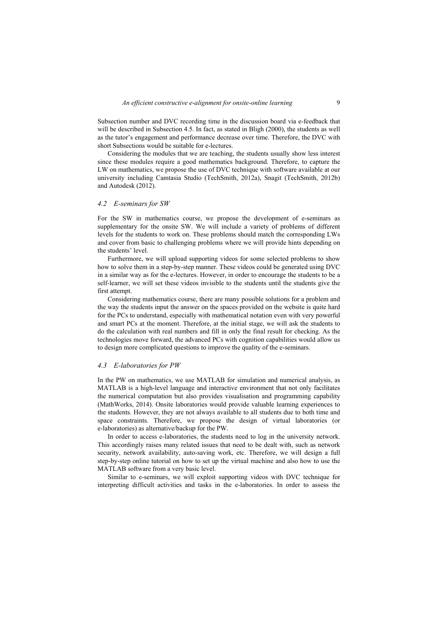Subsection number and DVC recording time in the discussion board via e-feedback that will be described in Subsection 4.5. In fact, as stated in Bligh (2000), the students as well as the tutor's engagement and performance decrease over time. Therefore, the DVC with short Subsections would be suitable for e-lectures.

Considering the modules that we are teaching, the students usually show less interest since these modules require a good mathematics background. Therefore, to capture the LW on mathematics, we propose the use of DVC technique with software available at our university including Camtasia Studio (TechSmith, 2012a), Snagit (TechSmith, 2012b) and Autodesk (2012).

#### *4.2 E-seminars for SW*

For the SW in mathematics course, we propose the development of e-seminars as supplementary for the onsite SW. We will include a variety of problems of different levels for the students to work on. These problems should match the corresponding LWs and cover from basic to challenging problems where we will provide hints depending on the students' level.

Furthermore, we will upload supporting videos for some selected problems to show how to solve them in a step-by-step manner. These videos could be generated using DVC in a similar way as for the e-lectures. However, in order to encourage the students to be a self-learner, we will set these videos invisible to the students until the students give the first attempt.

Considering mathematics course, there are many possible solutions for a problem and the way the students input the answer on the spaces provided on the website is quite hard for the PCs to understand, especially with mathematical notation even with very powerful and smart PCs at the moment. Therefore, at the initial stage, we will ask the students to do the calculation with real numbers and fill in only the final result for checking. As the technologies move forward, the advanced PCs with cognition capabilities would allow us to design more complicated questions to improve the quality of the e-seminars.

#### *4.3 E-laboratories for PW*

In the PW on mathematics, we use MATLAB for simulation and numerical analysis, as MATLAB is a high-level language and interactive environment that not only facilitates the numerical computation but also provides visualisation and programming capability (MathWorks, 2014). Onsite laboratories would provide valuable learning experiences to the students. However, they are not always available to all students due to both time and space constraints. Therefore, we propose the design of virtual laboratories (or e-laboratories) as alternative/backup for the PW.

In order to access e-laboratories, the students need to log in the university network. This accordingly raises many related issues that need to be dealt with, such as network security, network availability, auto-saving work, etc. Therefore, we will design a full step-by-step online tutorial on how to set up the virtual machine and also how to use the MATLAB software from a very basic level.

Similar to e-seminars, we will exploit supporting videos with DVC technique for interpreting difficult activities and tasks in the e-laboratories. In order to assess the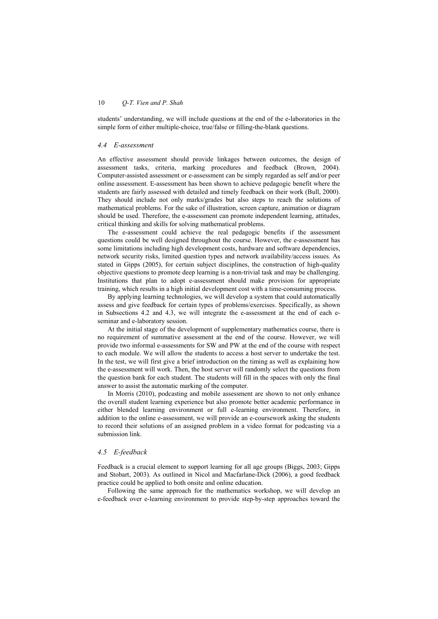students' understanding, we will include questions at the end of the e-laboratories in the simple form of either multiple-choice, true/false or filling-the-blank questions.

#### *4.4 E-assessment*

An effective assessment should provide linkages between outcomes, the design of assessment tasks, criteria, marking procedures and feedback (Brown, 2004). Computer-assisted assessment or e-assessment can be simply regarded as self and/or peer online assessment. E-assessment has been shown to achieve pedagogic benefit where the students are fairly assessed with detailed and timely feedback on their work (Bull, 2000). They should include not only marks/grades but also steps to reach the solutions of mathematical problems. For the sake of illustration, screen capture, animation or diagram should be used. Therefore, the e-assessment can promote independent learning, attitudes, critical thinking and skills for solving mathematical problems.

The e-assessment could achieve the real pedagogic benefits if the assessment questions could be well designed throughout the course. However, the e-assessment has some limitations including high development costs, hardware and software dependencies, network security risks, limited question types and network availability/access issues. As stated in Gipps (2005), for certain subject disciplines, the construction of high-quality objective questions to promote deep learning is a non-trivial task and may be challenging. Institutions that plan to adopt e-assessment should make provision for appropriate training, which results in a high initial development cost with a time-consuming process.

By applying learning technologies, we will develop a system that could automatically assess and give feedback for certain types of problems/exercises. Specifically, as shown in Subsections 4.2 and 4.3, we will integrate the e-assessment at the end of each eseminar and e-laboratory session.

At the initial stage of the development of supplementary mathematics course, there is no requirement of summative assessment at the end of the course. However, we will provide two informal e-assessments for SW and PW at the end of the course with respect to each module. We will allow the students to access a host server to undertake the test. In the test, we will first give a brief introduction on the timing as well as explaining how the e-assessment will work. Then, the host server will randomly select the questions from the question bank for each student. The students will fill in the spaces with only the final answer to assist the automatic marking of the computer.

In Morris (2010), podcasting and mobile assessment are shown to not only enhance the overall student learning experience but also promote better academic performance in either blended learning environment or full e-learning environment. Therefore, in addition to the online e-assessment, we will provide an e-coursework asking the students to record their solutions of an assigned problem in a video format for podcasting via a submission link.

#### *4.5 E-feedback*

Feedback is a crucial element to support learning for all age groups (Biggs, 2003; Gipps and Stobart, 2003). As outlined in Nicol and Macfarlane-Dick (2006), a good feedback practice could be applied to both onsite and online education.

Following the same approach for the mathematics workshop, we will develop an e-feedback over e-learning environment to provide step-by-step approaches toward the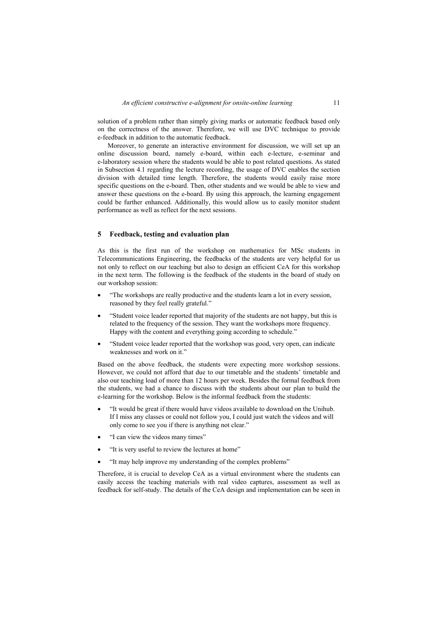solution of a problem rather than simply giving marks or automatic feedback based only on the correctness of the answer. Therefore, we will use DVC technique to provide e-feedback in addition to the automatic feedback.

Moreover, to generate an interactive environment for discussion, we will set up an online discussion board, namely e-board, within each e-lecture, e-seminar and e-laboratory session where the students would be able to post related questions. As stated in Subsection 4.1 regarding the lecture recording, the usage of DVC enables the section division with detailed time length. Therefore, the students would easily raise more specific questions on the e-board. Then, other students and we would be able to view and answer these questions on the e-board. By using this approach, the learning engagement could be further enhanced. Additionally, this would allow us to easily monitor student performance as well as reflect for the next sessions.

#### **5 Feedback, testing and evaluation plan**

As this is the first run of the workshop on mathematics for MSc students in Telecommunications Engineering, the feedbacks of the students are very helpful for us not only to reflect on our teaching but also to design an efficient CeA for this workshop in the next term. The following is the feedback of the students in the board of study on our workshop session:

- "The workshops are really productive and the students learn a lot in every session, reasoned by they feel really grateful."
- "Student voice leader reported that majority of the students are not happy, but this is related to the frequency of the session. They want the workshops more frequency. Happy with the content and everything going according to schedule."
- "Student voice leader reported that the workshop was good, very open, can indicate weaknesses and work on it."

Based on the above feedback, the students were expecting more workshop sessions. However, we could not afford that due to our timetable and the students' timetable and also our teaching load of more than 12 hours per week. Besides the formal feedback from the students, we had a chance to discuss with the students about our plan to build the e-learning for the workshop. Below is the informal feedback from the students:

- "It would be great if there would have videos available to download on the Unihub. If I miss any classes or could not follow you, I could just watch the videos and will only come to see you if there is anything not clear."
- "I can view the videos many times"
- "It is very useful to review the lectures at home"
- "It may help improve my understanding of the complex problems"

Therefore, it is crucial to develop CeA as a virtual environment where the students can easily access the teaching materials with real video captures, assessment as well as feedback for self-study. The details of the CeA design and implementation can be seen in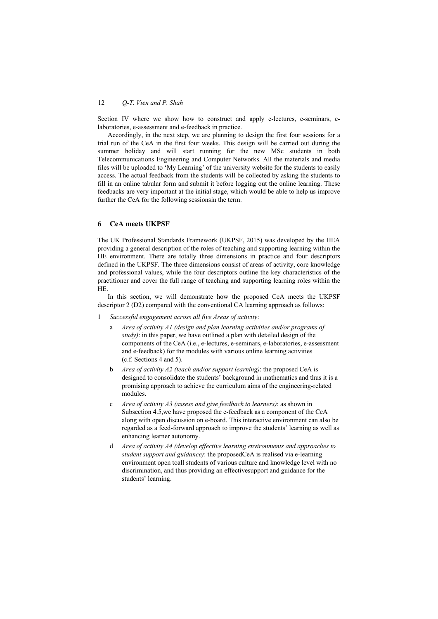Section IV where we show how to construct and apply e-lectures, e-seminars, elaboratories, e-assessment and e-feedback in practice.

Accordingly, in the next step, we are planning to design the first four sessions for a trial run of the CeA in the first four weeks. This design will be carried out during the summer holiday and will start running for the new MSc students in both Telecommunications Engineering and Computer Networks. All the materials and media files will be uploaded to 'My Learning' of the university website for the students to easily access. The actual feedback from the students will be collected by asking the students to fill in an online tabular form and submit it before logging out the online learning. These feedbacks are very important at the initial stage, which would be able to help us improve further the CeA for the following sessionsin the term.

#### **6 CeA meets UKPSF**

The UK Professional Standards Framework (UKPSF, 2015) was developed by the HEA providing a general description of the roles of teaching and supporting learning within the HE environment. There are totally three dimensions in practice and four descriptors defined in the UKPSF. The three dimensions consist of areas of activity, core knowledge and professional values, while the four descriptors outline the key characteristics of the practitioner and cover the full range of teaching and supporting learning roles within the HE.

In this section, we will demonstrate how the proposed CeA meets the UKPSF descriptor 2 (D2) compared with the conventional CA learning approach as follows:

- 1 *Successful engagement across all five Areas of activity*:
	- a *Area of activity A1 (design and plan learning activities and/or programs of study)*: in this paper, we have outlined a plan with detailed design of the components of the CeA (i.e., e-lectures, e-seminars, e-laboratories, e-assessment and e-feedback) for the modules with various online learning activities (c.f. Sections 4 and 5).
	- b *Area of activity A2 (teach and/or support learning)*: the proposed CeA is designed to consolidate the students' background in mathematics and thus it is a promising approach to achieve the curriculum aims of the engineering-related modules.
	- c *Area of activity A3 (assess and give feedback to learners)*: as shown in Subsection 4.5,we have proposed the e-feedback as a component of the CeA along with open discussion on e-board. This interactive environment can also be regarded as a feed-forward approach to improve the students' learning as well as enhancing learner autonomy.
	- d *Area of activity A4 (develop effective learning environments and approaches to student support and guidance)*: the proposedCeA is realised via e-learning environment open toall students of various culture and knowledge level with no discrimination, and thus providing an effectivesupport and guidance for the students' learning.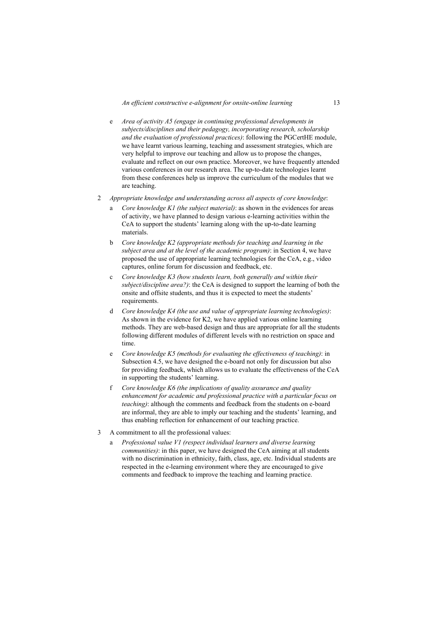*An efficient constructive e-alignment for onsite-online learning* 13

- e *Area of activity A5 (engage in continuing professional developments in subjects/disciplines and their pedagogy, incorporating research, scholarship and the evaluation of professional practices)*: following the PGCertHE module, we have learnt various learning, teaching and assessment strategies, which are very helpful to improve our teaching and allow us to propose the changes, evaluate and reflect on our own practice. Moreover, we have frequently attended various conferences in our research area. The up-to-date technologies learnt from these conferences help us improve the curriculum of the modules that we are teaching.
- 2 *Appropriate knowledge and understanding across all aspects of core knowledge*:
	- *Core knowledge K1 (the subject material)*: as shown in the evidences for areas of activity, we have planned to design various e-learning activities within the CeA to support the students' learning along with the up-to-date learning materials.
	- b *Core knowledge K2 (appropriate methods for teaching and learning in the subject area and at the level of the academic program)*: in Section 4, we have proposed the use of appropriate learning technologies for the CeA, e.g., video captures, online forum for discussion and feedback, etc.
	- c *Core knowledge K3 (how students learn, both generally and within their subject/discipline area?)*: the CeA is designed to support the learning of both the onsite and offsite students, and thus it is expected to meet the students' requirements.
	- Core knowledge K4 (the use and value of appropriate learning technologies): As shown in the evidence for K2, we have applied various online learning methods. They are web-based design and thus are appropriate for all the students following different modules of different levels with no restriction on space and time.
	- e *Core knowledge K5 (methods for evaluating the effectiveness of teaching)*: in Subsection  $4.5$ , we have designed the e-board not only for discussion but also for providing feedback, which allows us to evaluate the effectiveness of the CeA in supporting the students' learning.
	- f *Core knowledge K6 (the implications of quality assurance and quality enhancement for academic and professional practice with a particular focus on teaching)*: although the comments and feedback from the students on e-board are informal, they are able to imply our teaching and the students' learning, and thus enabling reflection for enhancement of our teaching practice.
- 3 A commitment to all the professional values:
	- a *Professional value V1 (respect individual learners and diverse learning communities)*: in this paper, we have designed the CeA aiming at all students with no discrimination in ethnicity, faith, class, age, etc. Individual students are respected in the e-learning environment where they are encouraged to give comments and feedback to improve the teaching and learning practice.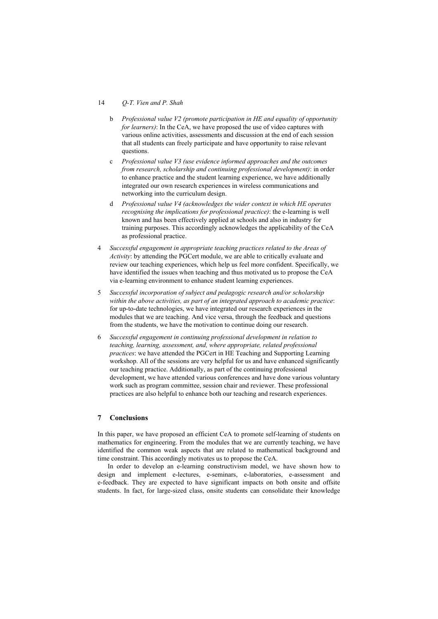- b *Professional value V2 (promote participation in HE and equality of opportunity for learners)*: In the CeA, we have proposed the use of video captures with various online activities, assessments and discussion at the end of each session that all students can freely participate and have opportunity to raise relevant questions.
- c *Professional value V3 (use evidence informed approaches and the outcomes from research, scholarship and continuing professional development)*: in order to enhance practice and the student learning experience, we have additionally integrated our own research experiences in wireless communications and networking into the curriculum design.
- d *Professional value V4 (acknowledges the wider context in which HE operates recognising the implications for professional practice)*: the e-learning is well known and has been effectively applied at schools and also in industry for training purposes. This accordingly acknowledges the applicability of the CeA as professional practice.
- 4 *Successful engagement in appropriate teaching practices related to the Areas of Activity*: by attending the PGCert module, we are able to critically evaluate and review our teaching experiences, which help us feel more confident. Specifically, we have identified the issues when teaching and thus motivated us to propose the CeA via e-learning environment to enhance student learning experiences.
- 5 *Successful incorporation of subject and pedagogic research and/or scholarship within the above activities, as part of an integrated approach to academic practice*: for up-to-date technologies, we have integrated our research experiences in the modules that we are teaching. And vice versa, through the feedback and questions from the students, we have the motivation to continue doing our research.
- 6 *Successful engagement in continuing professional development in relation to teaching, learning, assessment, and, where appropriate, related professional practices*: we have attended the PGCert in HE Teaching and Supporting Learning workshop. All of the sessions are very helpful for us and have enhanced significantly our teaching practice. Additionally, as part of the continuing professional development, we have attended various conferences and have done various voluntary work such as program committee, session chair and reviewer. These professional practices are also helpful to enhance both our teaching and research experiences.

## **7 Conclusions**

In this paper, we have proposed an efficient CeA to promote self-learning of students on mathematics for engineering. From the modules that we are currently teaching, we have identified the common weak aspects that are related to mathematical background and time constraint. This accordingly motivates us to propose the CeA.

In order to develop an e-learning constructivism model, we have shown how to design and implement e-lectures, e-seminars, e-laboratories, e-assessment and e-feedback. They are expected to have significant impacts on both onsite and offsite students. In fact, for large-sized class, onsite students can consolidate their knowledge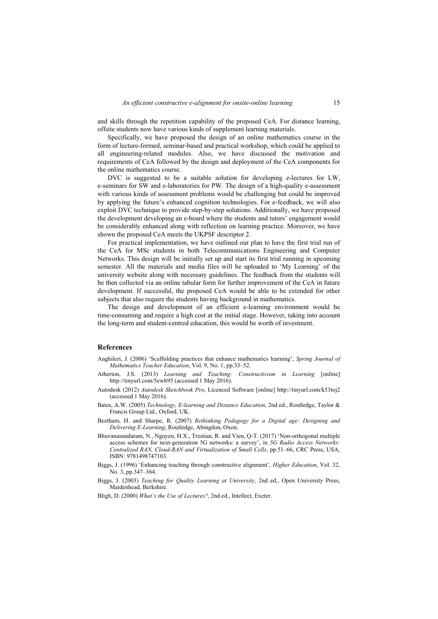and skills through the repetition capability of the proposed CeA. For distance learning, offsite students now have various kinds of supplement learning materials.

Specifically, we have proposed the design of an online mathematics course in the form of lecture-formed, seminar-based and practical workshop, which could be applied to all engineering-related modules. Also, we have discussed the motivation and requirements of CeA followed by the design and deployment of the CeA components for the online mathematics course.

DVC is suggested to be a suitable solution for developing e-lectures for LW, e-seminars for SW and e-laboratories for PW. The design of a high-quality e-assessment with various kinds of assessment problems would be challenging but could be improved by applying the future's enhanced cognition technologies. For e-feedback, we will also exploit DVC technique to provide step-by-step solutions. Additionally, we have proposed the development developing an e-board where the students and tutors' engagement would be considerably enhanced along with reflection on learning practice. Moreover, we have shown the proposed CeA meets the UKPSF descriptor 2.

For practical implementation, we have outlined our plan to have the first trial run of the CeA for MSc students in both Telecommunications Engineering and Computer Networks. This design will be initially set up and start its first trial running in upcoming semester. All the materials and media files will be uploaded to 'My Learning' of the university website along with necessary guidelines. The feedback from the students will be then collected via an online tabular form for further improvement of the CeA in future development. If successful, the proposed CeA would be able to be extended for other subjects that also require the students having background in mathematics.

The design and development of an efficient e-learning environment would be time-consuming and require a high cost at the initial stage. However, taking into account the long-term and student-centred education, this would be worth of investment.

#### **References**

- Anghileri, J. (2006) 'Scaffolding practices that enhance mathematics learning', *Spring Journal of Mathematics Teacher Education*, Vol. 9, No. 1, pp.33–52.
- Atherton, J.S. (2013) *Learning and Teaching: Constructivism in Learning* [online] http://tinyurl.com/5ewh95 (accessed 1 May 2016).
- Autodesk (2012) *Autodesk Sketchbook Pro*, Licenced Software [online] http://tinyurl.com/k53toj2 (accessed 1 May 2016).
- Bates, A.W. (2005) *Technology, E-learning and Distance Education*, 2nd ed., Routledge, Taylor & Francis Group Ltd., Oxford, UK.
- Beetham, H. and Sharpe, R. (2007) *Rethinking Pedagogy for a Digital age: Designing and Delivering E-Learning*, Routledge, Abingdon, Oxon.
- Bhuvanasundaram, N., Nguyen, H.X., Trestian, R. and Vien, Q-T. (2017) 'Non-orthogonal multiple access schemes for next-generation 5G networks: a survey', in *5G Radio Access Networks: Centralized RAN, Cloud-RAN and Virtualization of Small Cells*, pp.51–66, CRC Press, USA, ISBN: 9781498747103.
- Biggs, J. (1996) 'Enhancing teaching through constructive alignment', *Higher Education*, Vol. 32, No. 3, pp.347–364.
- Biggs, J. (2003) *Teaching for Quality Learning at University*, 2nd ed., Open University Press, Maidenhead, Berkshire.
- Bligh, D. (2000) *What's the Use of Lectures?*, 2nd ed., Intellect, Exeter.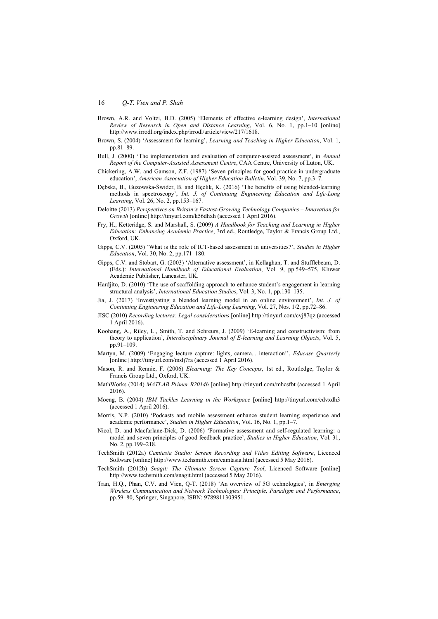- Brown, A.R. and Voltzi, B.D. (2005) 'Elements of effective e-learning design', *International Review of Research in Open and Distance Learning*, Vol. 6, No. 1, pp.1–10 [online] http://www.irrodl.org/index.php/irrodl/article/view/217/1618.
- Brown, S. (2004) 'Assessment for learning', *Learning and Teaching in Higher Education*, Vol. 1, pp.81–89.
- Bull, J. (2000) 'The implementation and evaluation of computer-assisted assessment', in *Annual Report of the Computer-Assisted Assessment Centre*, CAA Centre, University of Luton, UK.
- Chickering, A.W. and Gamson, Z.F. (1987) 'Seven principles for good practice in undergraduate education', *American Association of Higher Education Bulletin*, Vol. 39, No. 7, pp.3–7.
- Dębska, B., Guzowska-Świder, B. and Hęclik, K. (2016) 'The benefits of using blended-learning methods in spectroscopy', *Int. J. of Continuing Engineering Education and Life-Long Learning*, Vol. 26, No. 2, pp.153–167.
- Deloitte (2013) *Perspectives on Britain's Fastest-Growing Technology Companies Innovation for Growth* [online] http://tinyurl.com/k56dhxh (accessed 1 April 2016).
- Fry, H., Ketteridge, S. and Marshall, S. (2009) *A Handbook for Teaching and Learning in Higher Education: Enhancing Academic Practice*, 3rd ed., Routledge, Taylor & Francis Group Ltd., Oxford, UK.
- Gipps, C.V. (2005) 'What is the role of ICT-based assessment in universities?', *Studies in Higher Education*, Vol. 30, No. 2, pp.171–180.
- Gipps, C.V. and Stobart, G. (2003) 'Alternative assessment', in Kellaghan, T. and Stufflebeam, D. (Eds.): *International Handbook of Educational Evaluation*, Vol. 9, pp.549–575, Kluwer Academic Publisher, Lancaster, UK.
- Hardjito, D. (2010) 'The use of scaffolding approach to enhance student's engagement in learning structural analysis', *International Education Studies*, Vol. 3, No. 1, pp.130–135.
- Jia, J. (2017) 'Investigating a blended learning model in an online environment', *Int. J. of Continuing Engineering Education and Life-Long Learning*, Vol. 27, Nos. 1/2, pp.72–86.
- JISC (2010) *Recording lectures: Legal considerations* [online] http://tinyurl.com/cvj87qz (accessed 1 April 2016).
- Koohang, A., Riley, L., Smith, T. and Schreurs, J. (2009) 'E-learning and constructivism: from theory to application', *Interdisciplinary Journal of E-learning and Learning Objects*, Vol. 5, pp.91–109.
- Martyn, M. (2009) 'Engaging lecture capture: lights, camera... interaction!', *Educase Quarterly* [online] http://tinyurl.com/mslj7ra (accessed 1 April 2016).
- Mason, R. and Rennie, F. (2006) *Elearning: The Key Concepts*, 1st ed., Routledge, Taylor & Francis Group Ltd., Oxford, UK.
- MathWorks (2014) *MATLAB Primer R2014b* [online] http://tinyurl.com/mhcsfbt (accessed 1 April 2016)
- Moeng, B. (2004) *IBM Tackles Learning in the Workspace* [online] http://tinyurl.com/cdvxdh3 (accessed 1 April 2016).
- Morris, N.P. (2010) 'Podcasts and mobile assessment enhance student learning experience and academic performance', *Studies in Higher Education*, Vol. 16, No. 1, pp.1–7.
- Nicol, D. and Macfarlane-Dick, D. (2006) 'Formative assessment and self-regulated learning: a model and seven principles of good feedback practice', *Studies in Higher Education*, Vol. 31, No. 2, pp.199–218.
- TechSmith (2012a) *Camtasia Studio: Screen Recording and Video Editing Software*, Licenced Software [online] http://www.techsmith.com/camtasia.html (accessed 5 May 2016).
- TechSmith (2012b) *Snagit: The Ultimate Screen Capture Tool*, Licenced Software [online] http://www.techsmith.com/snagit.html (accessed 5 May 2016).
- Tran, H.Q., Phan, C.V. and Vien, Q-T. (2018) 'An overview of 5G technologies', in *Emerging Wireless Communication and Network Technologies: Principle, Paradigm and Performance*, pp.59–80, Springer, Singapore, ISBN: 9789811303951.